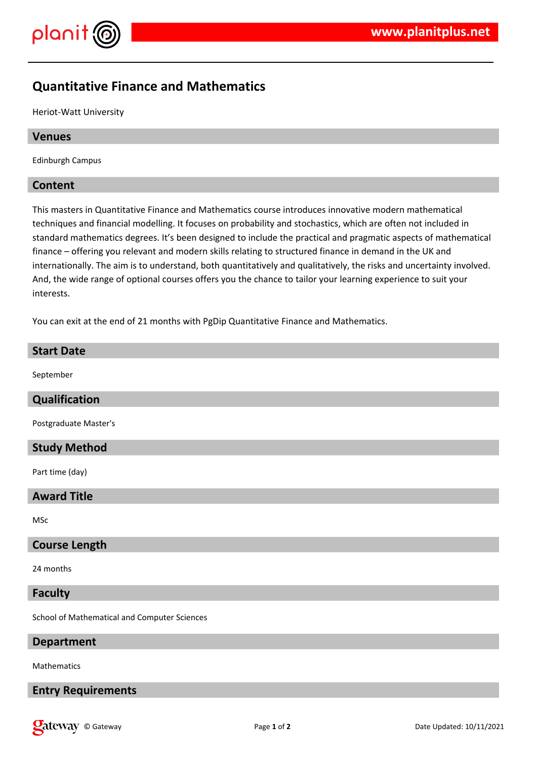



# **Quantitative Finance and Mathematics**

Heriot-Watt University

#### **Venues**

Edinburgh Campus

#### **Content**

This masters in Quantitative Finance and Mathematics course introduces innovative modern mathematical techniques and financial modelling. It focuses on probability and stochastics, which are often not included in standard mathematics degrees. It's been designed to include the practical and pragmatic aspects of mathematical finance – offering you relevant and modern skills relating to structured finance in demand in the UK and internationally. The aim is to understand, both quantitatively and qualitatively, the risks and uncertainty involved. And, the wide range of optional courses offers you the chance to tailor your learning experience to suit your interests.

You can exit at the end of 21 months with PgDip Quantitative Finance and Mathematics.

# **Start Date**

September

## **Qualification**

Postgraduate Master's

## **Study Method**

Part time (day)

#### **Award Title**

MSc

## **Course Length**

24 months

#### **Faculty**

School of Mathematical and Computer Sciences

## **Department**

Mathematics

## **Entry Requirements**

**Call EXECURI** Controller Updated: 10/11/2021 **Page 1** of **2 Date Updated: 10/11/2021**